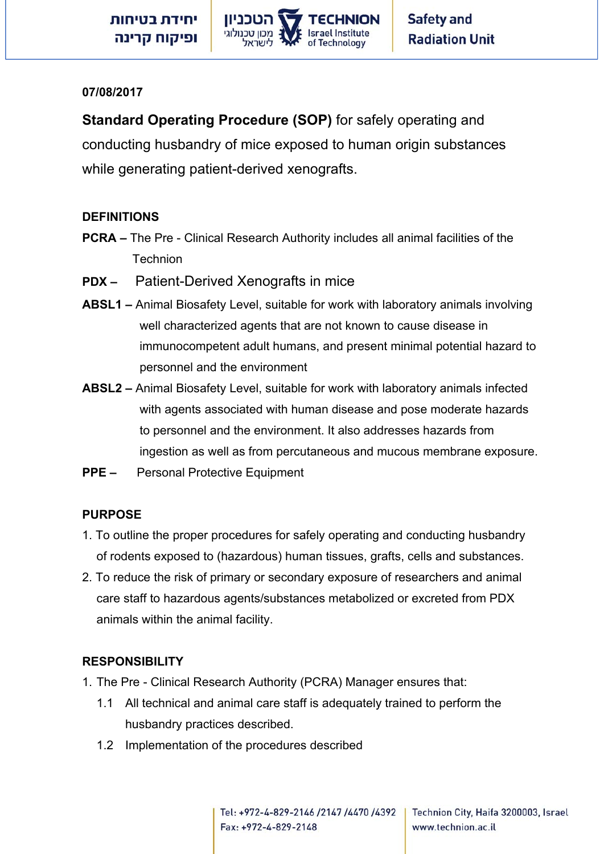

#### **07/08/2017**

**Standard Operating Procedure (SOP)** for safely operating and conducting husbandry of mice exposed to human origin substances while generating patient-derived xenografts.

### **DEFINITIONS**

- **PCRA –** The Pre Clinical Research Authority includes all animal facilities of the **Technion**
- **PDX –** Patient-Derived Xenografts in mice
- **ABSL1** Animal Biosafety Level, suitable for work with laboratory animals involving well characterized agents that are not known to cause disease in immunocompetent adult humans, and present minimal potential hazard to personnel and the environment
- **ABSL2 –** Animal Biosafety Level, suitable for work with laboratory animals infected with agents associated with human disease and pose moderate hazards to personnel and the environment. It also addresses hazards from ingestion as well as from percutaneous and mucous membrane exposure.
- **PPE –** Personal Protective Equipment

#### **PURPOSE**

- 1. To outline the proper procedures for safely operating and conducting husbandry of rodents exposed to (hazardous) human tissues, grafts, cells and substances.
- 2. To reduce the risk of primary or secondary exposure of researchers and animal care staff to hazardous agents/substances metabolized or excreted from PDX animals within the animal facility.

### **RESPONSIBILITY**

- 1. The Pre Clinical Research Authority (PCRA) Manager ensures that:
	- 1.1 All technical and animal care staff is adequately trained to perform the husbandry practices described.
	- 1.2 Implementation of the procedures described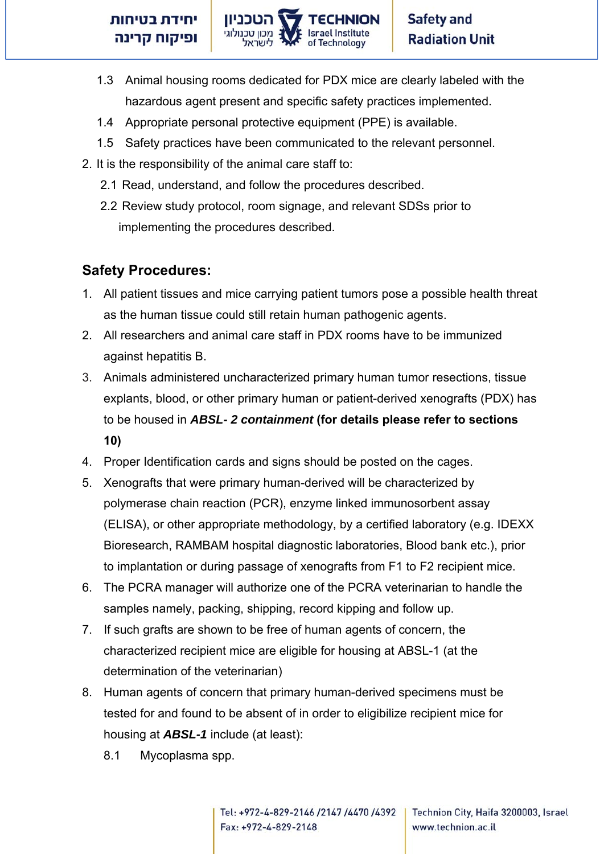

- 1.3 Animal housing rooms dedicated for PDX mice are clearly labeled with the hazardous agent present and specific safety practices implemented.
- 1.4 Appropriate personal protective equipment (PPE) is available.
- 1.5 Safety practices have been communicated to the relevant personnel.
- 2. It is the responsibility of the animal care staff to:
	- 2.1 Read, understand, and follow the procedures described.
	- 2.2 Review study protocol, room signage, and relevant SDSs prior to implementing the procedures described.

# **Safety Procedures:**

- 1. All patient tissues and mice carrying patient tumors pose a possible health threat as the human tissue could still retain human pathogenic agents.
- 2. All researchers and animal care staff in PDX rooms have to be immunized against hepatitis B.
- 3. Animals administered uncharacterized primary human tumor resections, tissue explants, blood, or other primary human or patient-derived xenografts (PDX) has to be housed in *ABSL- 2 containment* **(for details please refer to sections 10)**
- 4. Proper Identification cards and signs should be posted on the cages.
- 5. Xenografts that were primary human-derived will be characterized by polymerase chain reaction (PCR), enzyme linked immunosorbent assay (ELISA), or other appropriate methodology, by a certified laboratory (e.g. IDEXX Bioresearch, RAMBAM hospital diagnostic laboratories, Blood bank etc.), prior to implantation or during passage of xenografts from F1 to F2 recipient mice.
- 6. The PCRA manager will authorize one of the PCRA veterinarian to handle the samples namely, packing, shipping, record kipping and follow up.
- 7. If such grafts are shown to be free of human agents of concern, the characterized recipient mice are eligible for housing at ABSL-1 (at the determination of the veterinarian)
- 8. Human agents of concern that primary human-derived specimens must be tested for and found to be absent of in order to eligibilize recipient mice for housing at *ABSL-1* include (at least):
	- 8.1 Mycoplasma spp.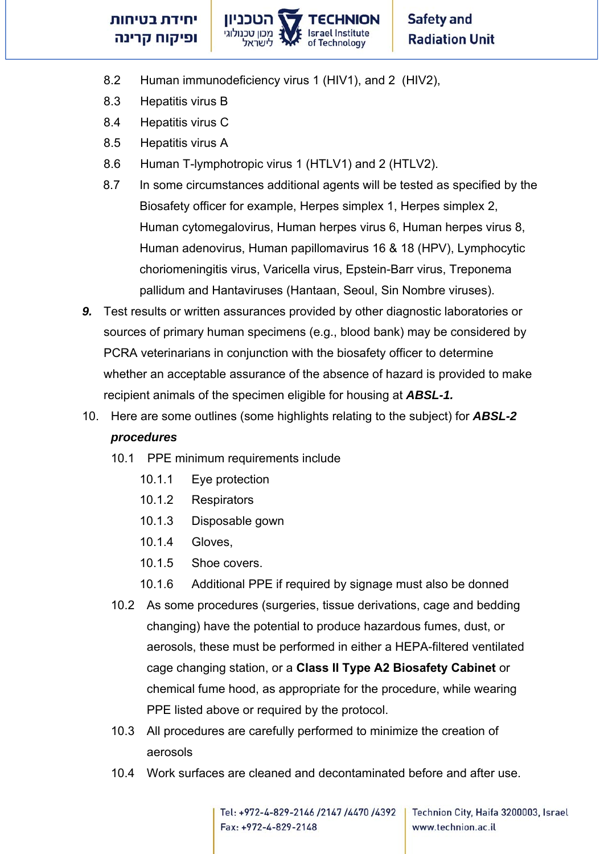

- 8.2 Human immunodeficiency virus 1 (HIV1), and 2 (HIV2),
- 8.3 Hepatitis virus B
- 8.4 Hepatitis virus C
- 8.5 Hepatitis virus A
- 8.6 Human T-lymphotropic virus 1 (HTLV1) and 2 (HTLV2).
- 8.7 In some circumstances additional agents will be tested as specified by the Biosafety officer for example, Herpes simplex 1, Herpes simplex 2, Human cytomegalovirus, Human herpes virus 6, Human herpes virus 8, Human adenovirus, Human papillomavirus 16 & 18 (HPV), Lymphocytic choriomeningitis virus, Varicella virus, Epstein-Barr virus, Treponema pallidum and Hantaviruses (Hantaan, Seoul, Sin Nombre viruses).
- *9.* Test results or written assurances provided by other diagnostic laboratories or sources of primary human specimens (e.g., blood bank) may be considered by PCRA veterinarians in conjunction with the biosafety officer to determine whether an acceptable assurance of the absence of hazard is provided to make recipient animals of the specimen eligible for housing at *ABSL-1.*
- 10. Here are some outlines (some highlights relating to the subject) for *ABSL-2 procedures*
	- 10.1 PPE minimum requirements include
		- 10.1.1 Eye protection
		- 10.1.2 Respirators
		- 10.1.3 Disposable gown
		- 10.1.4 Gloves,
		- 10.1.5 Shoe covers.
		- 10.1.6 Additional PPE if required by signage must also be donned
	- 10.2 As some procedures (surgeries, tissue derivations, cage and bedding changing) have the potential to produce hazardous fumes, dust, or aerosols, these must be performed in either a HEPA-filtered ventilated cage changing station, or a **Class II Type A2 Biosafety Cabinet** or chemical fume hood, as appropriate for the procedure, while wearing PPE listed above or required by the protocol.
	- 10.3 All procedures are carefully performed to minimize the creation of aerosols
	- 10.4 Work surfaces are cleaned and decontaminated before and after use.